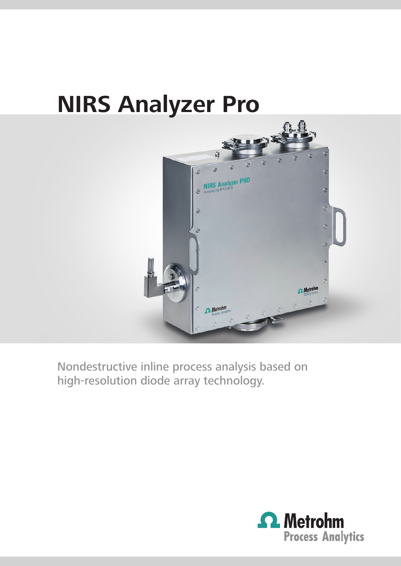# **NIRS Analyzer Pro**



Nondestructive inline process analysis based on high-resolution diode array technology.

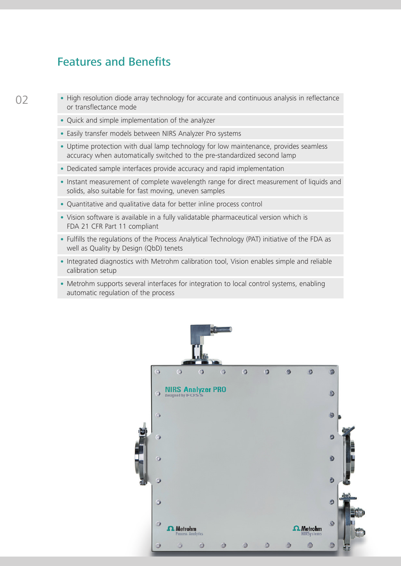### Features and Benefits

 $\Omega$ 

 • High resolution diode array technology for accurate and continuous analysis in reflectance or transflectance mode

- Quick and simple implementation of the analyzer
- Easily transfer models between NIRS Analyzer Pro systems
- Uptime protection with dual lamp technology for low maintenance, provides seamless accuracy when automatically switched to the pre-standardized second lamp
- Dedicated sample interfaces provide accuracy and rapid implementation
- Instant measurement of complete wavelength range for direct measurement of liquids and solids, also suitable for fast moving, uneven samples
- Quantitative and qualitative data for better inline process control
- Vision software is available in a fully validatable pharmaceutical version which is FDA 21 CFR Part 11 compliant
- Fulfills the regulations of the Process Analytical Technology (PAT) initiative of the FDA as well as Quality by Design (QbD) tenets
- Integrated diagnostics with Metrohm calibration tool, Vision enables simple and reliable calibration setup
- Metrohm supports several interfaces for integration to local control systems, enabling automatic regulation of the process

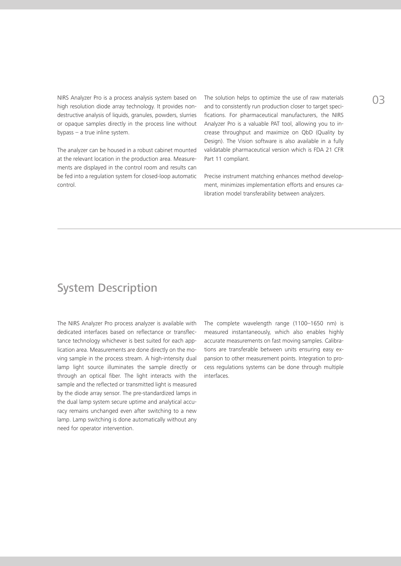NIRS Analyzer Pro is a process analysis system based on high resolution diode array technology. It provides nondestructive analysis of liquids, granules, powders, slurries or opaque samples directly in the process line without bypass – a true inline system.

The analyzer can be housed in a robust cabinet mounted at the relevant location in the production area. Measurements are displayed in the control room and results can be fed into a regulation system for closed-loop automatic control.

The solution helps to optimize the use of raw materials and to consistently run production closer to target specifications. For pharmaceutical manufacturers, the NIRS Analyzer Pro is a valuable PAT tool, allowing you to increase throughput and maximize on QbD (Quality by Design). The Vision software is also available in a fully validatable pharmaceutical version which is FDA 21 CFR Part 11 compliant.

Precise instrument matching enhances method development, minimizes implementation efforts and ensures calibration model transferability between analyzers.

### System Description

The NIRS Analyzer Pro process analyzer is available with dedicated interfaces based on reflectance or transflectance technology whichever is best suited for each application area. Measurements are done directly on the moving sample in the process stream. A high-intensity dual lamp light source illuminates the sample directly or through an optical fiber. The light interacts with the sample and the reflected or transmitted light is measured by the diode array sensor. The pre-standardized lamps in the dual lamp system secure uptime and analytical accuracy remains unchanged even after switching to a new lamp. Lamp switching is done automatically without any need for operator intervention.

The complete wavelength range (1100–1650 nm) is measured instantaneously, which also enables highly accurate measurements on fast moving samples. Calibrations are transferable between units ensuring easy expansion to other measurement points. Integration to process regulations systems can be done through multiple interfaces.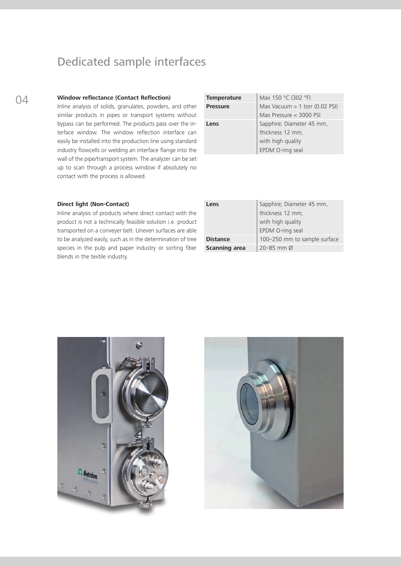### Dedicated sample interfaces

Inline analysis of solids, granulates, powders, and other similar products in pipes or transport systems without bypass can be performed. The products pass over the interface window. The window reflection interface can easily be installed into the production line using standard industry flowcells or welding an interface flange into the wall of the pipe/transport system. The analyzer can be set up to scan through a process window if absolutely no contact with the process is allowed.

| 04 | <b>Window reflectance (Contact Reflection)</b>              | <b>Temperature</b> | Max 150 °C (302 °F)              |
|----|-------------------------------------------------------------|--------------------|----------------------------------|
|    | Inline analysis of solids, granulates, powders, and other   | <b>Pressure</b>    | Max Vacuum $> 1$ torr (0.02 PSI) |
|    | similar products in pipes or transport systems without      |                    | Max Pressure < 3000 PSI          |
|    | bypass can be performed. The products pass over the in-     | Lens               | Sapphire; Diameter 45 mm,        |
|    | terface window. The window reflection interface can         |                    | thickness 12 mm,                 |
|    | easily be installed into the production line using standard |                    | with high quality                |
|    | industry flowcells or welding an interface flange into the  |                    | EPDM O-ring seal                 |

#### **Direct light (Non-Contact)**

Inline analysis of products where direct contact with the product is not a technically feasible solution i.e. product transported on a conveyer belt. Uneven surfaces are able to be analyzed easily, such as in the determination of tree species in the pulp and paper industry or sorting fiber blends in the textile industry.

| Sapphire; Diameter 45 mm,<br>Lens |                              |
|-----------------------------------|------------------------------|
|                                   | thickness 12 mm,             |
|                                   | with high quality            |
|                                   | EPDM O-ring seal             |
| <b>Distance</b>                   | 100-250 mm to sample surface |
| <b>Scanning area</b>              | 20–85 mm $\varnothing$       |



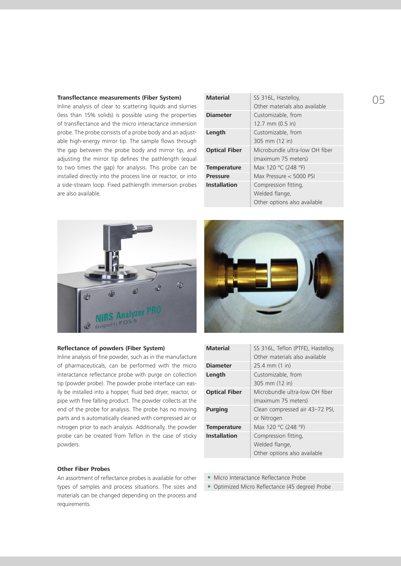#### **Transflectance measurements (Fiber System)**

Inline analysis of clear to scattering liquids and slurries (less than 15% solids) is possible using the properties of transflectance and the micro interactance immersion probe. The probe consists of a probe body and an adjustable high-energy mirror tip. The sample flows through the gap between the probe body and mirror tip, and adjusting the mirror tip defines the pathlength (equal to two times the gap) for analysis. This probe can be installed directly into the process line or reactor, or into a side-stream loop. Fixed pathlength immersion probes are also available.

| <b>Material</b>      | SS 316L, Hastelloy,            |  |
|----------------------|--------------------------------|--|
|                      | Other materials also available |  |
| <b>Diameter</b>      | Customizable, from             |  |
|                      | 12.7 mm (0.5 in)               |  |
| Length               | Customizable, from             |  |
|                      | 305 mm (12 in)                 |  |
| <b>Optical Fiber</b> | Microbundle ultra-low OH fiber |  |
|                      | (maximum 75 meters)            |  |
| <b>Temperature</b>   | Max 120 °C (248 °F)            |  |
| <b>Pressure</b>      | Max Pressure < 5000 PSI        |  |
| <b>Installation</b>  | Compression fitting,           |  |
|                      | Welded flange,                 |  |
|                      | Other options also available   |  |



#### **Reflectance of powders (Fiber System)**

Inline analysis of fine powder, such as in the manufacture of pharmaceuticals, can be performed with the micro interactance reflectance probe with purge on collection tip (powder probe). The powder probe interface can easily be installed into a hopper, fluid bed dryer, reactor, or pipe with free falling product. The powder collects at the end of the probe for analysis. The probe has no moving parts and is automatically cleaned with compressed air or nitrogen prior to each analysis. Additionally, the powder probe can be created from Teflon in the case of sticky powders.

#### **Other Fiber Probes**

An assortment of reflectance probes is available for other types of samples and process situations. The sizes and materials can be changed depending on the process and requirements.



| <b>Material</b>      | SS 316L, Teflon (PTFE), Hastelloy, |
|----------------------|------------------------------------|
|                      | Other materials also available     |
| <b>Diameter</b>      | $25.4 \, \text{mm}$ (1 in)         |
| Length               | Customizable, from                 |
|                      | 305 mm (12 in)                     |
| <b>Optical Fiber</b> | Microbundle ultra-low OH fiber     |
|                      | (maximum 75 meters)                |
| <b>Purging</b>       | Clean compressed air 43-72 PSI,    |
|                      | or Nitrogen                        |
| <b>Temperature</b>   | Max 120 °C (248 °F)                |
| <b>Installation</b>  | Compression fitting,               |
|                      | Welded flange,                     |
|                      | Other options also available       |

- Micro Interactance Reflectance Probe
- Optimized Micro Reflectance (45 degree) Probe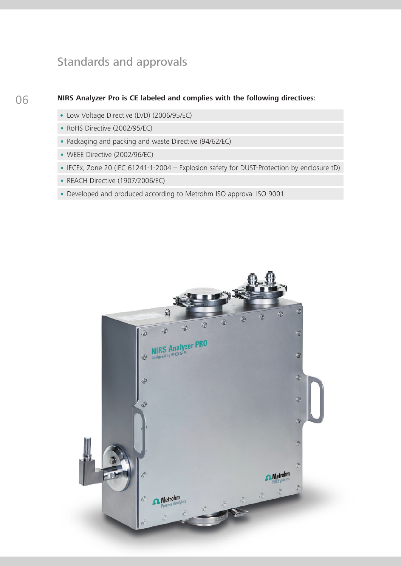### Standards and approvals

### **NIRS Analyzer Pro is CE labeled and complies with the following directives:**

- Low Voltage Directive (LVD) (2006/95/EC)
- RoHS Directive (2002/95/EC)
- Packaging and packing and waste Directive (94/62/EC)
- WEEE Directive (2002/96/EC)
- IECEx, Zone 20 (IEC 61241-1-2004 Explosion safety for DUST-Protection by enclosure tD)
- REACH Directive (1907/2006/EC)
- Developed and produced according to Metrohm ISO approval ISO 9001

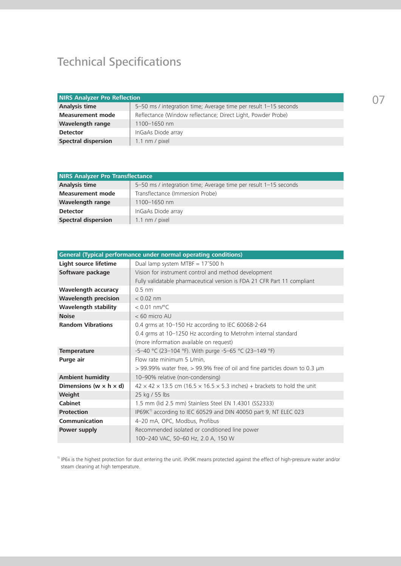## Technical Specifications

| <b>NIRS Analyzer Pro Reflection</b> |                                                                  |  |
|-------------------------------------|------------------------------------------------------------------|--|
| Analysis time                       | 5-50 ms / integration time; Average time per result 1-15 seconds |  |
| <b>Measurement mode</b>             | Reflectance (Window reflectance; Direct Light, Powder Probe)     |  |
| <b>Wavelength range</b>             | 1100-1650 nm                                                     |  |
| <b>Detector</b>                     | InGaAs Diode array                                               |  |
| <b>Spectral dispersion</b>          | $1.1 \text{ nm}$ / pixel                                         |  |

| <b>NIRS Analyzer Pro Transflectance</b> |                                                                  |  |
|-----------------------------------------|------------------------------------------------------------------|--|
| Analysis time                           | 5-50 ms / integration time; Average time per result 1-15 seconds |  |
| <b>Measurement mode</b>                 | Transflectance (Immersion Probe)                                 |  |
| <b>Wavelength range</b>                 | 1100-1650 nm                                                     |  |
| <b>Detector</b>                         | InGaAs Diode array                                               |  |
| <b>Spectral dispersion</b>              | 1.1 nm / pixel                                                   |  |

| General (Typical performance under normal operating conditions) |                                                                                                    |  |
|-----------------------------------------------------------------|----------------------------------------------------------------------------------------------------|--|
| Light source lifetime                                           | Dual lamp system MTBF = 17'500 h                                                                   |  |
| Software package                                                | Vision for instrument control and method development                                               |  |
|                                                                 | Fully validatable pharmaceutical version is FDA 21 CFR Part 11 compliant                           |  |
| <b>Wavelength accuracy</b>                                      | $0.5$ nm                                                                                           |  |
| <b>Wavelength precision</b>                                     | $< 0.02$ nm                                                                                        |  |
| <b>Wavelength stability</b>                                     | $< 0.01$ nm/°C                                                                                     |  |
| <b>Noise</b>                                                    | $< 60$ micro AU                                                                                    |  |
| <b>Random Vibrations</b>                                        | 0.4 grms at 10-150 Hz according to IEC 60068-2-64                                                  |  |
|                                                                 | 0.4 grms at 10-1250 Hz according to Metrohm internal standard                                      |  |
|                                                                 | (more information available on request)                                                            |  |
| <b>Temperature</b>                                              | -5-40 °C (23-104 °F). With purge -5-65 °C (23-149 °F)                                              |  |
| Purge air                                                       | Flow rate minimum 5 L/min,                                                                         |  |
|                                                                 | $>$ 99.99% water free, $>$ 99.9% free of oil and fine particles down to 0.3 µm                     |  |
| <b>Ambient humidity</b>                                         | 10-90% relative (non-condensing)                                                                   |  |
| Dimensions (w $\times$ h $\times$ d)                            | $42 \times 42 \times 13.5$ cm (16.5 $\times$ 16.5 $\times$ 5.3 inches) + brackets to hold the unit |  |
| Weight                                                          | 25 kg / 55 lbs                                                                                     |  |
| <b>Cabinet</b>                                                  | 1.5 mm (lid 2.5 mm) Stainless Steel EN 1.4301 (SS2333)                                             |  |
| <b>Protection</b>                                               | IP69K <sup>1)</sup> according to IEC 60529 and DIN 40050 part 9, NT ELEC 023                       |  |
| Communication                                                   | 4-20 mA, OPC, Modbus, Profibus                                                                     |  |
| Power supply                                                    | Recommended isolated or conditioned line power                                                     |  |
|                                                                 | 100-240 VAC, 50-60 Hz, 2.0 A, 150 W                                                                |  |

<sup>1)</sup> IP6x is the highest protection for dust entering the unit. IPx9K means protected against the effect of high-pressure water and/or steam cleaning at high temperature.

07